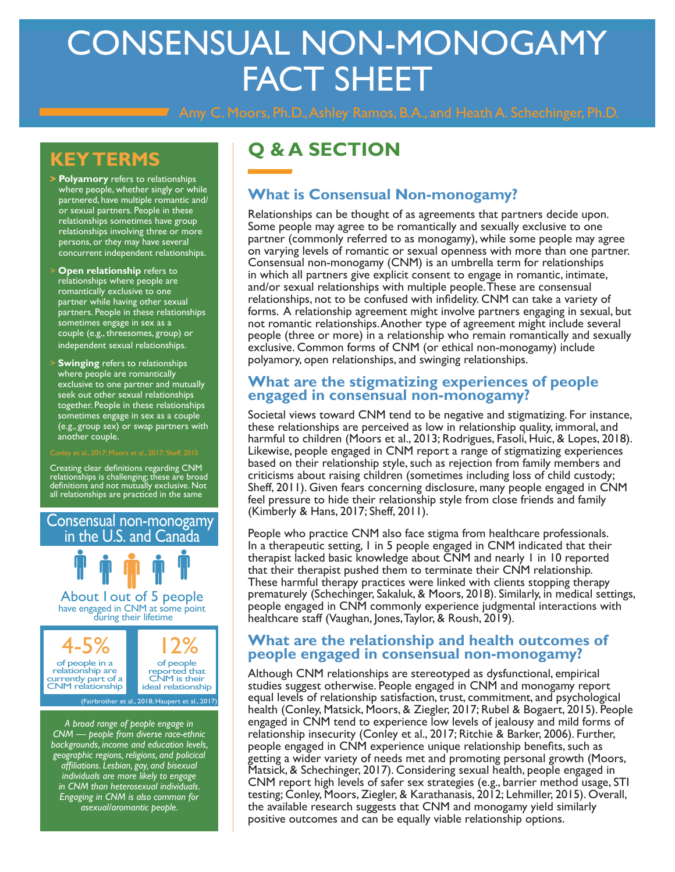# CONSENSUAL NON-MONOGAMY FACT SHEET

Amy C. Moors, Ph.D., Ashley Ramos, B.A., and Heath A. Schechinger, Ph.D.

## **KEY TERMS**

- **> Polyamory** refers to relationships where people, whether singly or while partnered, have multiple romantic and/ or sexual partners. People in these relationships sometimes have group relationships involving three or more persons, or they may have several concurrent independent relationships.
- **Open relationship** refers to relationships where people are romantically exclusive to one partner while having other sexual partners. People in these relationships sometimes engage in sex as a couple (e.g., threesomes, group) or independent sexual relationships.
- > **Swinging** refers to relationships where people are romantically exclusive to one partner and mutually seek out other sexual relationships together. People in these relationships sometimes engage in sex as a couple (e.g., group sex) or swap partners with another couple.

Creating clear definitions regarding CNM relationships is challenging; these are broad definitions and not mutually exclusive. Not all relationships are practiced in the same

Consensual non-monogamy in the U.S. and Canada 4-5% of people in a 12% have engaged in CNM at some point<br>during their lifetime About 1 out of 5 people

relationship are currently part of a CNM relationship

of people reported that CNM is their ideal relationship

(Fairbrother et al., 2018; Haupert et al., 2017)

*A broad range of people engage in CNM — people from diverse race-ethnic backgrounds, income and education levels, geographic regions, religions, and policical affiliations. Lesbian, gay, and bisexual individuals are more likely to engage in CNM than heterosexual individuals. Engaging in CNM is also common for asexual/aromantic people.*

# **Q & A SECTION**

#### **What is Consensual Non-monogamy?**

Relationships can be thought of as agreements that partners decide upon. Some people may agree to be romantically and sexually exclusive to one partner (commonly referred to as monogamy), while some people may agree on varying levels of romantic or sexual openness with more than one partner. Consensual non-monogamy (CNM) is an umbrella term for relationships in which all partners give explicit consent to engage in romantic, intimate, and/or sexual relationships with multiple people. These are consensual relationships, not to be confused with infidelity. CNM can take a variety of forms. A relationship agreement might involve partners engaging in sexual, but not romantic relationships. Another type of agreement might include several people (three or more) in a relationship who remain romantically and sexually exclusive. Common forms of CNM (or ethical non-monogamy) include polyamory, open relationships, and swinging relationships.

#### **What are the stigmatizing experiences of people engaged in consensual non-monogamy?**

Societal views toward CNM tend to be negative and stigmatizing. For instance, these relationships are perceived as low in relationship quality, immoral, and harmful to children (Moors et al., 2013; Rodrigues, Fasoli, Huic, & Lopes, 2018). Likewise, people engaged in CNM report a range of stigmatizing experiences based on their relationship style, such as rejection from family members and criticisms about raising children (sometimes including loss of child custody; Sheff, 2011). Given fears concerning disclosure, many people engaged in CNM feel pressure to hide their relationship style from close friends and family (Kimberly & Hans, 2017; Sheff, 2011).

People who practice CNM also face stigma from healthcare professionals. In a therapeutic setting, 1 in 5 people engaged in CNM indicated that their therapist lacked basic knowledge about CNM and nearly 1 in 10 reported that their therapist pushed them to terminate their CNM relationship. These harmful therapy practices were linked with clients stopping therapy prematurely (Schechinger, Sakaluk, & Moors, 2018). Similarly, in medical settings, people engaged in CNM commonly experience judgmental interactions with healthcare staff (Vaughan, Jones, Taylor, & Roush, 2019).

#### **What are the relationship and health outcomes of people engaged in consensual non-monogamy?**

Although CNM relationships are stereotyped as dysfunctional, empirical studies suggest otherwise. People engaged in CNM and monogamy report equal levels of relationship satisfaction, trust, commitment, and psychological health (Conley, Matsick, Moors, & Ziegler, 2017; Rubel & Bogaert, 2015). People engaged in CNM tend to experience low levels of jealousy and mild forms of relationship insecurity (Conley et al., 2017; Ritchie & Barker, 2006). Further, people engaged in CNM experience unique relationship benefits, such as getting a wider variety of needs met and promoting personal growth (Moors, Matsick, & Schechinger, 2017). Considering sexual health, people engaged in CNM report high levels of safer sex strategies (e.g., barrier method usage, STI testing; Conley, Moors, Ziegler, & Karathanasis, 2012; Lehmiller, 2015). Overall, the available research suggests that CNM and monogamy yield similarly positive outcomes and can be equally viable relationship options.